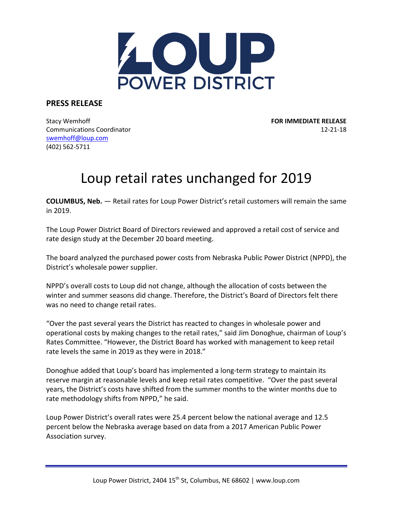

**PRESS RELEASE**

Stacy Wemhoff **FOR IMMEDIATE RELEASE** Communications Coordinator 12-21-18 [swemhoff@loup.com](mailto:swemhoff@loup.com)  (402) 562-5711

## Loup retail rates unchanged for 2019

**COLUMBUS, Neb.** — Retail rates for Loup Power District's retail customers will remain the same in 2019.

The Loup Power District Board of Directors reviewed and approved a retail cost of service and rate design study at the December 20 board meeting.

The board analyzed the purchased power costs from Nebraska Public Power District (NPPD), the District's wholesale power supplier.

NPPD's overall costs to Loup did not change, although the allocation of costs between the winter and summer seasons did change. Therefore, the District's Board of Directors felt there was no need to change retail rates.

"Over the past several years the District has reacted to changes in wholesale power and operational costs by making changes to the retail rates," said Jim Donoghue, chairman of Loup's Rates Committee. "However, the District Board has worked with management to keep retail rate levels the same in 2019 as they were in 2018."

Donoghue added that Loup's board has implemented a long-term strategy to maintain its reserve margin at reasonable levels and keep retail rates competitive. "Over the past several years, the District's costs have shifted from the summer months to the winter months due to rate methodology shifts from NPPD," he said.

Loup Power District's overall rates were 25.4 percent below the national average and 12.5 percent below the Nebraska average based on data from a 2017 American Public Power Association survey.